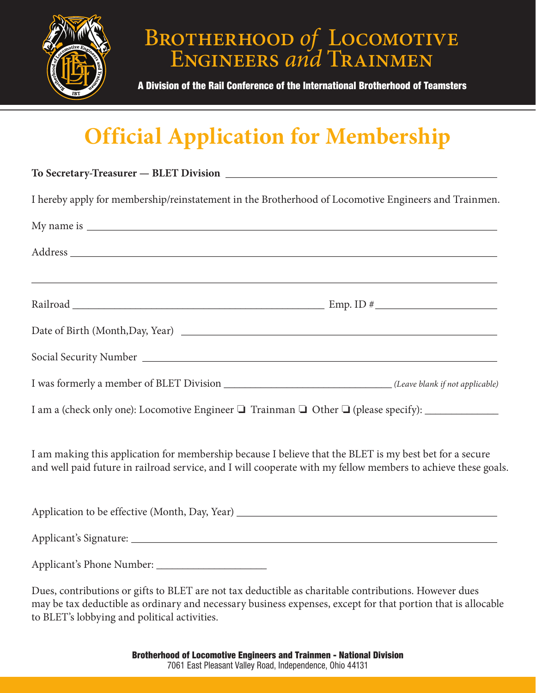

## BROTHERHOOD *of* LOCOMOTIVE Engineers *and* Trainmen

A Division of the Rail Conference of the International Brotherhood of Teamsters

## **Official Application for Membership**

| I hereby apply for membership/reinstatement in the Brotherhood of Locomotive Engineers and Trainmen.                                                                                                                     |  |
|--------------------------------------------------------------------------------------------------------------------------------------------------------------------------------------------------------------------------|--|
|                                                                                                                                                                                                                          |  |
|                                                                                                                                                                                                                          |  |
|                                                                                                                                                                                                                          |  |
|                                                                                                                                                                                                                          |  |
|                                                                                                                                                                                                                          |  |
| I was formerly a member of BLET Division _____________________________(Leave blank if not applicable)                                                                                                                    |  |
|                                                                                                                                                                                                                          |  |
| I am making this application for membership because I believe that the BLET is my best bet for a secure<br>and well paid future in railroad service, and I will cooperate with my fellow members to achieve these goals. |  |
|                                                                                                                                                                                                                          |  |
|                                                                                                                                                                                                                          |  |
|                                                                                                                                                                                                                          |  |
| Dues, contributions or gifts to BLET are not tax deductible as charitable contributions. However dues                                                                                                                    |  |

Dues, contributions or gifts to BLET are not tax deductible as charitable contributions. However dues may be tax deductible as ordinary and necessary business expenses, except for that portion that is allocable to BLET's lobbying and political activities.